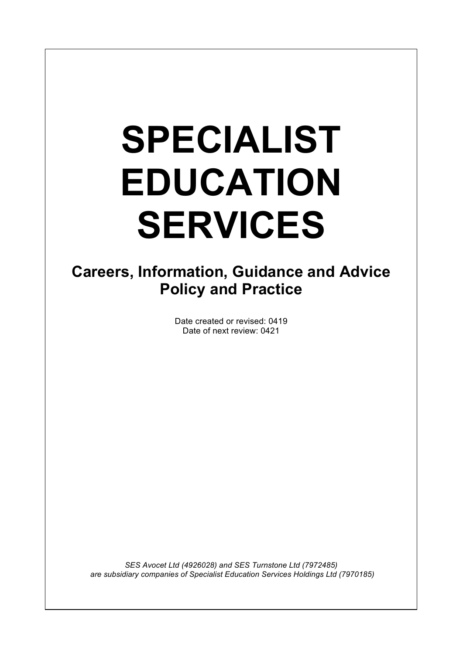# **SPECIALIST EDUCATION SERVICES**

 

# **Careers, Information, Guidance and Advice Policy and Practice**

Date created or revised: 0419 Date of next review: 0421

*SES Avocet Ltd (4926028) and SES Turnstone Ltd (7972485) are subsidiary companies of Specialist Education Services Holdings Ltd (7970185)*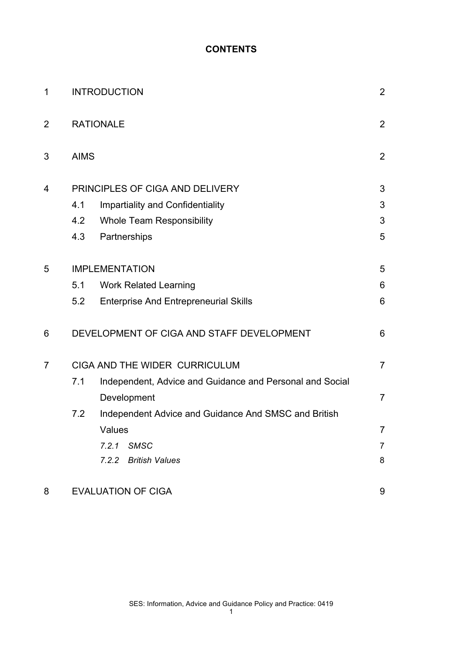#### **CONTENTS**

| 1              | <b>INTRODUCTION</b>             |                                                          | $\overline{2}$ |
|----------------|---------------------------------|----------------------------------------------------------|----------------|
| $\overline{2}$ | <b>RATIONALE</b>                |                                                          | $\overline{2}$ |
| 3              | <b>AIMS</b>                     |                                                          | $\overline{2}$ |
| 4              | PRINCIPLES OF CIGA AND DELIVERY |                                                          |                |
|                | 4.1                             | <b>Impartiality and Confidentiality</b>                  | 3              |
|                | 4.2                             | <b>Whole Team Responsibility</b>                         | 3              |
|                | 4.3                             | Partnerships                                             | 5              |
| 5              | <b>IMPLEMENTATION</b>           |                                                          | 5              |
|                | 5.1                             | <b>Work Related Learning</b>                             | 6              |
|                | 5.2                             | <b>Enterprise And Entrepreneurial Skills</b>             | 6              |
| 6              |                                 | DEVELOPMENT OF CIGA AND STAFF DEVELOPMENT                | 6              |
| $\overline{7}$ | CIGA AND THE WIDER CURRICULUM   |                                                          | $\overline{7}$ |
|                | 7.1                             | Independent, Advice and Guidance and Personal and Social |                |
|                |                                 | Development                                              | $\overline{7}$ |
|                | 7.2                             | Independent Advice and Guidance And SMSC and British     |                |
|                |                                 | Values                                                   | 7              |
|                |                                 | 7.2.1<br>SMSC                                            | 7              |
|                |                                 | 7.2.2 British Values                                     | 8              |
| 8              | <b>EVALUATION OF CIGA</b>       |                                                          | 9              |

SES: Information, Advice and Guidance Policy and Practice: 0419

1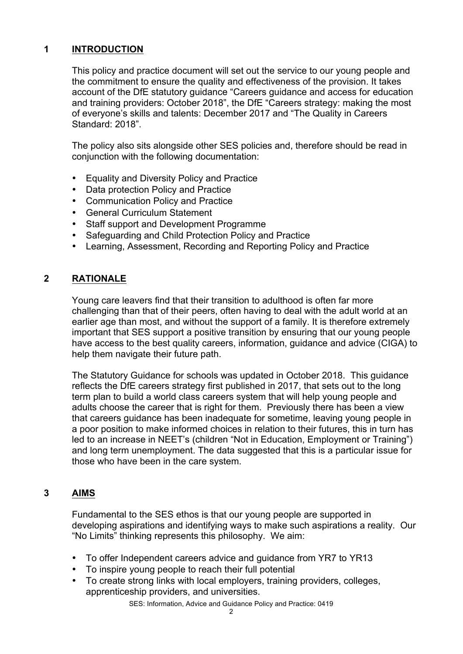# **1 INTRODUCTION**

This policy and practice document will set out the service to our young people and the commitment to ensure the quality and effectiveness of the provision. It takes account of the DfE statutory guidance "Careers guidance and access for education and training providers: October 2018", the DfE "Careers strategy: making the most of everyone's skills and talents: December 2017 and "The Quality in Careers Standard: 2018".

The policy also sits alongside other SES policies and, therefore should be read in conjunction with the following documentation:

- Equality and Diversity Policy and Practice
- Data protection Policy and Practice
- Communication Policy and Practice
- General Curriculum Statement
- Staff support and Development Programme
- Safeguarding and Child Protection Policy and Practice
- Learning, Assessment, Recording and Reporting Policy and Practice

# **2 RATIONALE**

Young care leavers find that their transition to adulthood is often far more challenging than that of their peers, often having to deal with the adult world at an earlier age than most, and without the support of a family. It is therefore extremely important that SES support a positive transition by ensuring that our young people have access to the best quality careers, information, guidance and advice (CIGA) to help them navigate their future path.

The Statutory Guidance for schools was updated in October 2018. This guidance reflects the DfE careers strategy first published in 2017, that sets out to the long term plan to build a world class careers system that will help young people and adults choose the career that is right for them. Previously there has been a view that careers guidance has been inadequate for sometime, leaving young people in a poor position to make informed choices in relation to their futures, this in turn has led to an increase in NEET's (children "Not in Education, Employment or Training") and long term unemployment. The data suggested that this is a particular issue for those who have been in the care system.

# **3 AIMS**

Fundamental to the SES ethos is that our young people are supported in developing aspirations and identifying ways to make such aspirations a reality. Our "No Limits" thinking represents this philosophy. We aim:

- To offer Independent careers advice and guidance from YR7 to YR13
- To inspire young people to reach their full potential
- To create strong links with local employers, training providers, colleges, apprenticeship providers, and universities.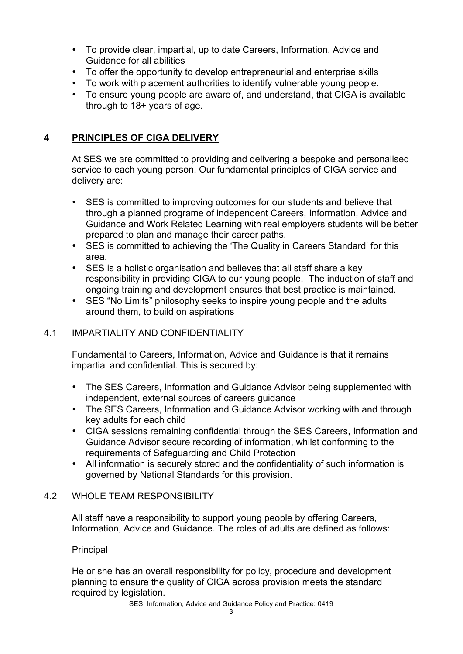- To provide clear, impartial, up to date Careers, Information, Advice and Guidance for all abilities
- To offer the opportunity to develop entrepreneurial and enterprise skills
- To work with placement authorities to identify vulnerable young people.
- To ensure young people are aware of, and understand, that CIGA is available through to 18+ years of age.

# **4 PRINCIPLES OF CIGA DELIVERY**

At SES we are committed to providing and delivering a bespoke and personalised service to each young person. Our fundamental principles of CIGA service and delivery are:

- SES is committed to improving outcomes for our students and believe that through a planned programe of independent Careers, Information, Advice and Guidance and Work Related Learning with real employers students will be better prepared to plan and manage their career paths.
- SES is committed to achieving the 'The Quality in Careers Standard' for this area.
- SES is a holistic organisation and believes that all staff share a key responsibility in providing CIGA to our young people. The induction of staff and ongoing training and development ensures that best practice is maintained.
- SES "No Limits" philosophy seeks to inspire young people and the adults around them, to build on aspirations

# 4.1 IMPARTIALITY AND CONFIDENTIALITY

Fundamental to Careers, Information, Advice and Guidance is that it remains impartial and confidential. This is secured by:

- The SES Careers, Information and Guidance Advisor being supplemented with independent, external sources of careers guidance
- The SES Careers, Information and Guidance Advisor working with and through key adults for each child
- CIGA sessions remaining confidential through the SES Careers, Information and Guidance Advisor secure recording of information, whilst conforming to the requirements of Safeguarding and Child Protection
- All information is securely stored and the confidentiality of such information is governed by National Standards for this provision.

# 4.2 WHOLE TEAM RESPONSIBILITY

All staff have a responsibility to support young people by offering Careers, Information, Advice and Guidance. The roles of adults are defined as follows:

#### Principal

He or she has an overall responsibility for policy, procedure and development planning to ensure the quality of CIGA across provision meets the standard required by legislation.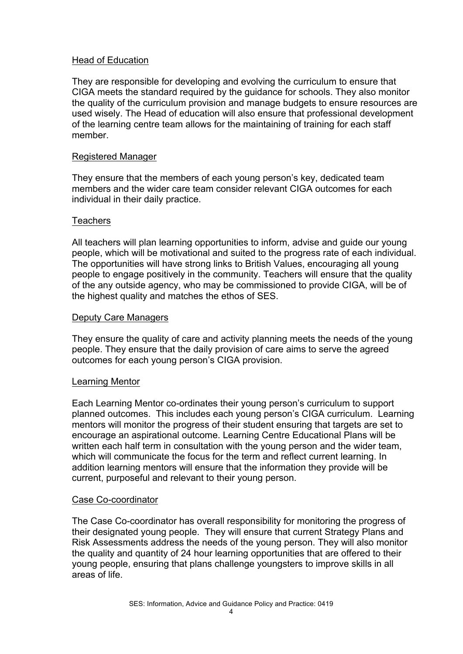#### Head of Education

They are responsible for developing and evolving the curriculum to ensure that CIGA meets the standard required by the guidance for schools. They also monitor the quality of the curriculum provision and manage budgets to ensure resources are used wisely. The Head of education will also ensure that professional development of the learning centre team allows for the maintaining of training for each staff member.

#### Registered Manager

They ensure that the members of each young person's key, dedicated team members and the wider care team consider relevant CIGA outcomes for each individual in their daily practice.

#### **Teachers**

All teachers will plan learning opportunities to inform, advise and guide our young people, which will be motivational and suited to the progress rate of each individual. The opportunities will have strong links to British Values, encouraging all young people to engage positively in the community. Teachers will ensure that the quality of the any outside agency, who may be commissioned to provide CIGA, will be of the highest quality and matches the ethos of SES.

#### Deputy Care Managers

They ensure the quality of care and activity planning meets the needs of the young people. They ensure that the daily provision of care aims to serve the agreed outcomes for each young person's CIGA provision.

#### Learning Mentor

Each Learning Mentor co-ordinates their young person's curriculum to support planned outcomes. This includes each young person's CIGA curriculum. Learning mentors will monitor the progress of their student ensuring that targets are set to encourage an aspirational outcome. Learning Centre Educational Plans will be written each half term in consultation with the young person and the wider team, which will communicate the focus for the term and reflect current learning. In addition learning mentors will ensure that the information they provide will be current, purposeful and relevant to their young person.

#### Case Co-coordinator

The Case Co-coordinator has overall responsibility for monitoring the progress of their designated young people. They will ensure that current Strategy Plans and Risk Assessments address the needs of the young person. They will also monitor the quality and quantity of 24 hour learning opportunities that are offered to their young people, ensuring that plans challenge youngsters to improve skills in all areas of life.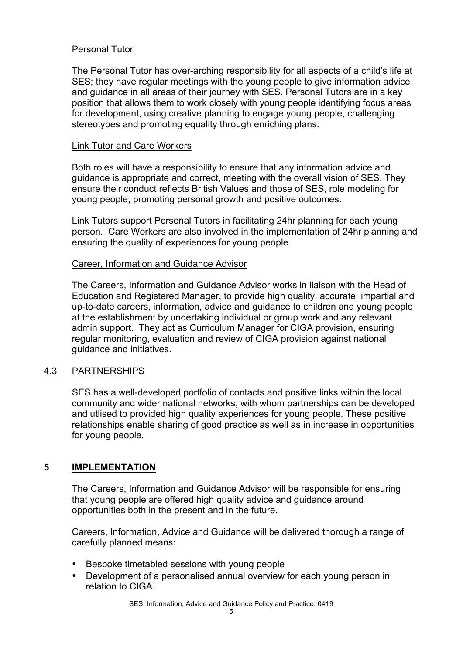#### Personal Tutor

The Personal Tutor has over-arching responsibility for all aspects of a child's life at SES; they have regular meetings with the young people to give information advice and guidance in all areas of their journey with SES. Personal Tutors are in a key position that allows them to work closely with young people identifying focus areas for development, using creative planning to engage young people, challenging stereotypes and promoting equality through enriching plans.

#### Link Tutor and Care Workers

Both roles will have a responsibility to ensure that any information advice and guidance is appropriate and correct, meeting with the overall vision of SES. They ensure their conduct reflects British Values and those of SES, role modeling for young people, promoting personal growth and positive outcomes.

Link Tutors support Personal Tutors in facilitating 24hr planning for each young person. Care Workers are also involved in the implementation of 24hr planning and ensuring the quality of experiences for young people.

#### Career, Information and Guidance Advisor

The Careers, Information and Guidance Advisor works in liaison with the Head of Education and Registered Manager, to provide high quality, accurate, impartial and up-to-date careers, information, advice and guidance to children and young people at the establishment by undertaking individual or group work and any relevant admin support. They act as Curriculum Manager for CIGA provision, ensuring regular monitoring, evaluation and review of CIGA provision against national guidance and initiatives.

#### 4.3 PARTNERSHIPS

SES has a well-developed portfolio of contacts and positive links within the local community and wider national networks, with whom partnerships can be developed and utlised to provided high quality experiences for young people. These positive relationships enable sharing of good practice as well as in increase in opportunities for young people.

# **5 IMPLEMENTATION**

The Careers, Information and Guidance Advisor will be responsible for ensuring that young people are offered high quality advice and guidance around opportunities both in the present and in the future.

Careers, Information, Advice and Guidance will be delivered thorough a range of carefully planned means:

- Bespoke timetabled sessions with young people
- Development of a personalised annual overview for each young person in relation to CIGA.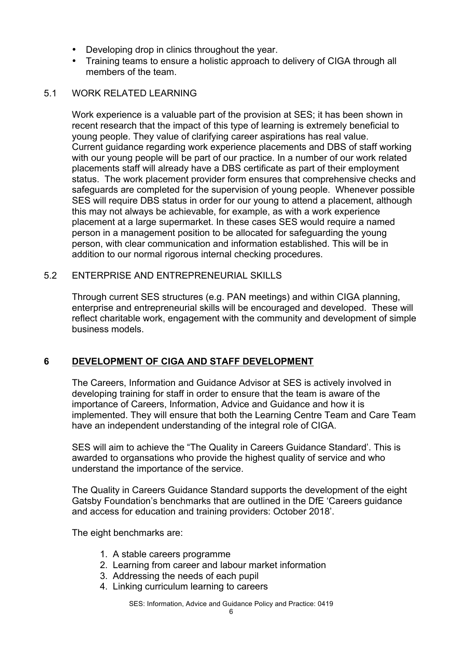- Developing drop in clinics throughout the year.
- Training teams to ensure a holistic approach to delivery of CIGA through all members of the team.

#### 5.1 WORK RELATED LEARNING

Work experience is a valuable part of the provision at SES; it has been shown in recent research that the impact of this type of learning is extremely beneficial to young people. They value of clarifying career aspirations has real value. Current guidance regarding work experience placements and DBS of staff working with our young people will be part of our practice. In a number of our work related placements staff will already have a DBS certificate as part of their employment status. The work placement provider form ensures that comprehensive checks and safeguards are completed for the supervision of young people. Whenever possible SES will require DBS status in order for our young to attend a placement, although this may not always be achievable, for example, as with a work experience placement at a large supermarket. In these cases SES would require a named person in a management position to be allocated for safeguarding the young person, with clear communication and information established. This will be in addition to our normal rigorous internal checking procedures.

#### 5.2 ENTERPRISE AND ENTREPRENEURIAL SKILLS

Through current SES structures (e.g. PAN meetings) and within CIGA planning, enterprise and entrepreneurial skills will be encouraged and developed. These will reflect charitable work, engagement with the community and development of simple business models.

# **6 DEVELOPMENT OF CIGA AND STAFF DEVELOPMENT**

The Careers, Information and Guidance Advisor at SES is actively involved in developing training for staff in order to ensure that the team is aware of the importance of Careers, Information, Advice and Guidance and how it is implemented. They will ensure that both the Learning Centre Team and Care Team have an independent understanding of the integral role of CIGA.

SES will aim to achieve the "The Quality in Careers Guidance Standard'. This is awarded to organsations who provide the highest quality of service and who understand the importance of the service.

The Quality in Careers Guidance Standard supports the development of the eight Gatsby Foundation's benchmarks that are outlined in the DfE 'Careers guidance and access for education and training providers: October 2018'.

The eight benchmarks are:

- 1. A stable careers programme
- 2. Learning from career and labour market information
- 3. Addressing the needs of each pupil
- 4. Linking curriculum learning to careers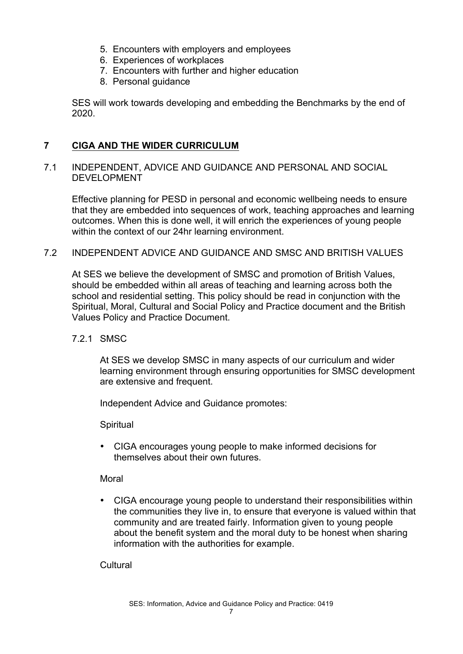- 5. Encounters with employers and employees
- 6. Experiences of workplaces
- 7. Encounters with further and higher education
- 8. Personal guidance

SES will work towards developing and embedding the Benchmarks by the end of 2020.

## **7 CIGA AND THE WIDER CURRICULUM**

#### 7.1 INDEPENDENT, ADVICE AND GUIDANCE AND PERSONAL AND SOCIAL DEVELOPMENT

Effective planning for PESD in personal and economic wellbeing needs to ensure that they are embedded into sequences of work, teaching approaches and learning outcomes. When this is done well, it will enrich the experiences of young people within the context of our 24hr learning environment.

# 7.2 INDEPENDENT ADVICE AND GUIDANCE AND SMSC AND BRITISH VALUES

At SES we believe the development of SMSC and promotion of British Values, should be embedded within all areas of teaching and learning across both the school and residential setting. This policy should be read in conjunction with the Spiritual, Moral, Cultural and Social Policy and Practice document and the British Values Policy and Practice Document.

#### 7.2.1 SMSC

At SES we develop SMSC in many aspects of our curriculum and wider learning environment through ensuring opportunities for SMSC development are extensive and frequent.

Independent Advice and Guidance promotes:

**Spiritual** 

• CIGA encourages young people to make informed decisions for themselves about their own futures.

Moral

• CIGA encourage young people to understand their responsibilities within the communities they live in, to ensure that everyone is valued within that community and are treated fairly. Information given to young people about the benefit system and the moral duty to be honest when sharing information with the authorities for example.

**Cultural**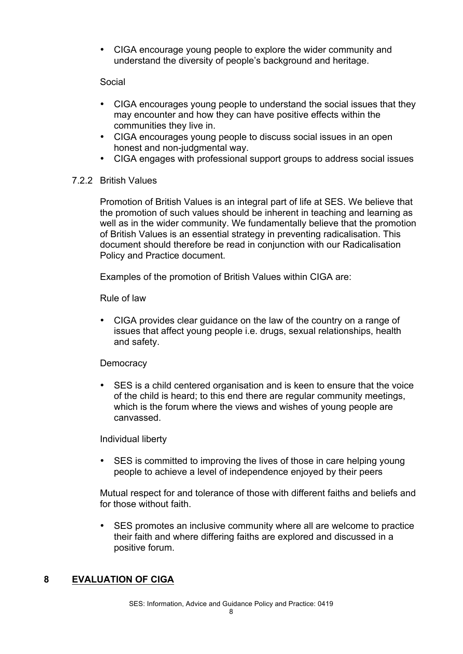• CIGA encourage young people to explore the wider community and understand the diversity of people's background and heritage.

#### Social

- CIGA encourages young people to understand the social issues that they may encounter and how they can have positive effects within the communities they live in.
- CIGA encourages young people to discuss social issues in an open honest and non-judgmental way.
- CIGA engages with professional support groups to address social issues

#### 7.2.2 British Values

Promotion of British Values is an integral part of life at SES. We believe that the promotion of such values should be inherent in teaching and learning as well as in the wider community. We fundamentally believe that the promotion of British Values is an essential strategy in preventing radicalisation. This document should therefore be read in conjunction with our Radicalisation Policy and Practice document.

Examples of the promotion of British Values within CIGA are:

Rule of law

• CIGA provides clear guidance on the law of the country on a range of issues that affect young people i.e. drugs, sexual relationships, health and safety.

#### **Democracy**

• SES is a child centered organisation and is keen to ensure that the voice of the child is heard; to this end there are regular community meetings, which is the forum where the views and wishes of young people are canvassed.

Individual liberty

• SES is committed to improving the lives of those in care helping young people to achieve a level of independence enjoyed by their peers

Mutual respect for and tolerance of those with different faiths and beliefs and for those without faith.

• SES promotes an inclusive community where all are welcome to practice their faith and where differing faiths are explored and discussed in a positive forum.

# **8 EVALUATION OF CIGA**